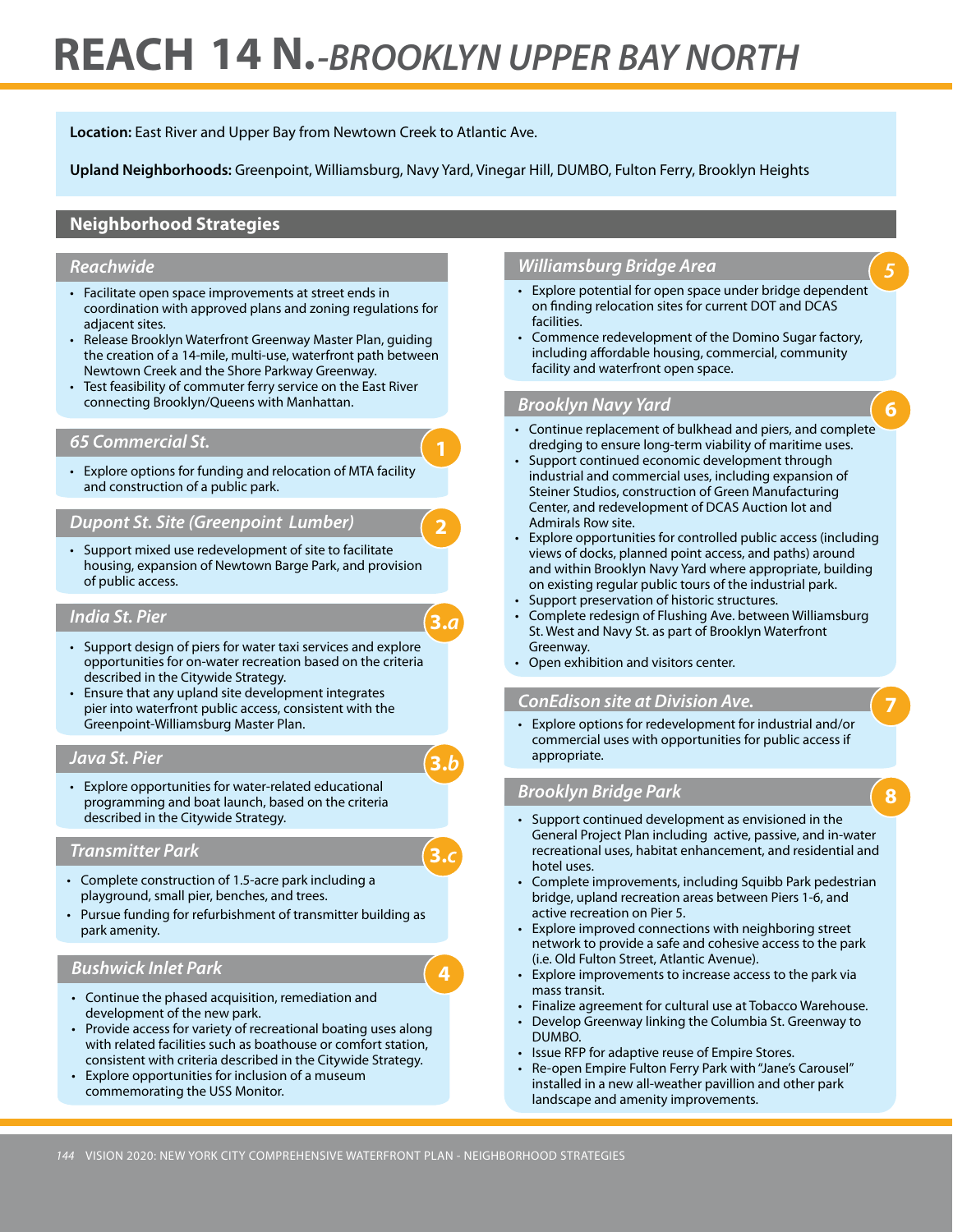# **REACH 14 N.** *-BROOKLYN UPPER BAY NORTH*

**Location:** East River and Upper Bay from Newtown Creek to Atlantic Ave.

**Upland Neighborhoods:** Greenpoint, Williamsburg, Navy Yard, Vinegar Hill, DUMBO, Fulton Ferry, Brooklyn Heights

**2**

**3.***a*

**3.***b*

**3.***c*

## **Neighborhood Strategies**

#### *Reachwide*

- Facilitate open space improvements at street ends in coordination with approved plans and zoning regulations for adjacent sites.
- Release Brooklyn Waterfront Greenway Master Plan, guiding the creation of a 14-mile, multi-use, waterfront path between Newtown Creek and the Shore Parkway Greenway.
- Test feasibility of commuter ferry service on the East River connecting Brooklyn/Queens with Manhattan.

#### *65 Commercial St.*

• Explore options for funding and relocation of MTA facility and construction of a public park.

## *Dupont St. Site (Greenpoint Lumber)*

• Support mixed use redevelopment of site to facilitate housing, expansion of Newtown Barge Park, and provision of public access.

#### *India St. Pier*

- Support design of piers for water taxi services and explore opportunities for on-water recreation based on the criteria described in the Citywide Strategy.
- Ensure that any upland site development integrates pier into waterfront public access, consistent with the Greenpoint-Williamsburg Master Plan.

#### *Java St. Pier*

• Explore opportunities for water-related educational programming and boat launch, based on the criteria described in the Citywide Strategy.

#### *Transmitter Park*

- • Complete construction of 1.5-acre park including a playground, small pier, benches, and trees.
- Pursue funding for refurbishment of transmitter building as park amenity.

## *Bushwick Inlet Park*

- • Continue the phased acquisition, remediation and development of the new park.
- Provide access for variety of recreational boating uses along with related facilities such as boathouse or comfort station, consistent with criteria described in the Citywide Strategy.
- Explore opportunities for inclusion of a museum commemorating the USS Monitor.

## *Williamsburg Bridge Area*

- • Explore potential for open space under bridge dependent on finding relocation sites for current DOT and DCAS facilities.
- Commence redevelopment of the Domino Sugar factory, including affordable housing, commercial, community facility and waterfront open space.

#### *Brooklyn Navy Yard*

- • Continue replacement of bulkhead and piers, and complete dredging to ensure long-term viability of maritime uses.
- Support continued economic development through industrial and commercial uses, including expansion of Steiner Studios, construction of Green Manufacturing Center, and redevelopment of DCAS Auction lot and Admirals Row site.
- Explore opportunities for controlled public access (including views of docks, planned point access, and paths) around and within Brooklyn Navy Yard where appropriate, building on existing regular public tours of the industrial park.
- Support preservation of historic structures.
- Complete redesign of Flushing Ave. between Williamsburg St. West and Navy St. as part of Brooklyn Waterfront Greenway.
- • Open exhibition and visitors center.

## *ConEdison site at Division Ave.*

• Explore options for redevelopment for industrial and/or commercial uses with opportunities for public access if appropriate.

**7**

**8**

**6**

*5*

#### *Brooklyn Bridge Park*

- • Support continued development as envisioned in the General Project Plan including active, passive, and in-water recreational uses, habitat enhancement, and residential and hotel uses.
- Complete improvements, including Squibb Park pedestrian bridge, upland recreation areas between Piers 1-6, and active recreation on Pier 5.
- Explore improved connections with neighboring street network to provide a safe and cohesive access to the park (i.e. Old Fulton Street, Atlantic Avenue).
- Explore improvements to increase access to the park via mass transit.
- Finalize agreement for cultural use at Tobacco Warehouse.
- Develop Greenway linking the Columbia St. Greenway to DUMBO.
- • Issue RFP for adaptive reuse of Empire Stores.
- • Re-open Empire Fulton Ferry Park with "Jane's Carousel" installed in a new all-weather pavillion and other park landscape and amenity improvements.

**4**